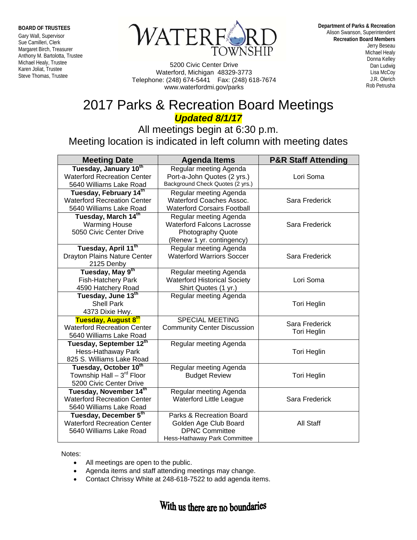**BOARD OF TRUSTEES** 

Gary Wall, Supervisor Sue Camilleri, Clerk Margaret Birch, Treasurer Anthony M. Bartolotta, Trustee Michael Healy, Trustee Karen Joliat, Trustee Steve Thomas, Trustee



 5200 Civic Center Drive Waterford, Michigan 48329-3773 Telephone: (248) 674-5441 Fax: (248) 618-7674 www.waterfordmi.gov/parks

**Department of Parks & Recreation** Alison Swanson, Superintendent **Recreation Board Members** Jerry Beseau Michael Healy Donna Kelley Dan Ludwig Lisa McCoy J.R. Olerich Rob Petrusha

## 2017 Parks & Recreation Board Meetings *Updated 8/1/17*

All meetings begin at 6:30 p.m. Meeting location is indicated in left column with meeting dates

| <b>Meeting Date</b>                                                                     | <b>Agenda Items</b>                                                                                           | <b>P&amp;R Staff Attending</b>       |
|-----------------------------------------------------------------------------------------|---------------------------------------------------------------------------------------------------------------|--------------------------------------|
| Tuesday, January 10th<br><b>Waterford Recreation Center</b><br>5640 Williams Lake Road  | Regular meeting Agenda<br>Port-a-John Quotes (2 yrs.)<br>Background Check Quotes (2 yrs.)                     | Lori Soma                            |
| Tuesday, February 14th<br><b>Waterford Recreation Center</b><br>5640 Williams Lake Road | Regular meeting Agenda<br><b>Waterford Coaches Assoc.</b><br><b>Waterford Corsairs Football</b>               | Sara Frederick                       |
| Tuesday, March 14th<br><b>Warming House</b><br>5050 Civic Center Drive                  | Regular meeting Agenda<br><b>Waterford Falcons Lacrosse</b><br>Photography Quote<br>(Renew 1 yr. contingency) | Sara Frederick                       |
| Tuesday, April 11 <sup>th</sup><br><b>Drayton Plains Nature Center</b><br>2125 Denby    | Regular meeting Agenda<br><b>Waterford Warriors Soccer</b>                                                    | Sara Frederick                       |
| Tuesday, May 9th<br><b>Fish-Hatchery Park</b><br>4590 Hatchery Road                     | Regular meeting Agenda<br><b>Waterford Historical Society</b><br>Shirt Quotes (1 yr.)                         | Lori Soma                            |
| Tuesday, June 13th<br><b>Shell Park</b><br>4373 Dixie Hwy.                              | Regular meeting Agenda                                                                                        | <b>Tori Heglin</b>                   |
| Tuesday, August 8th<br><b>Waterford Recreation Center</b><br>5640 Williams Lake Road    | <b>SPECIAL MEETING</b><br><b>Community Center Discussion</b>                                                  | Sara Frederick<br><b>Tori Heglin</b> |
| Tuesday, September 12th<br>Hess-Hathaway Park<br>825 S. Williams Lake Road              | Regular meeting Agenda                                                                                        | <b>Tori Heglin</b>                   |
| Tuesday, October 10th<br>Township Hall $-3^{rd}$ Floor<br>5200 Civic Center Drive       | Regular meeting Agenda<br><b>Budget Review</b>                                                                | <b>Tori Heglin</b>                   |
| Tuesday, November 14th<br><b>Waterford Recreation Center</b><br>5640 Williams Lake Road | Regular meeting Agenda<br><b>Waterford Little League</b>                                                      | Sara Frederick                       |
| Tuesday, December 5th<br><b>Waterford Recreation Center</b><br>5640 Williams Lake Road  | Parks & Recreation Board<br>Golden Age Club Board<br><b>DPNC Committee</b><br>Hess-Hathaway Park Committee    | All Staff                            |

Notes:

- All meetings are open to the public.
- Agenda items and staff attending meetings may change.
- Contact Chrissy White at 248-618-7522 to add agenda items.